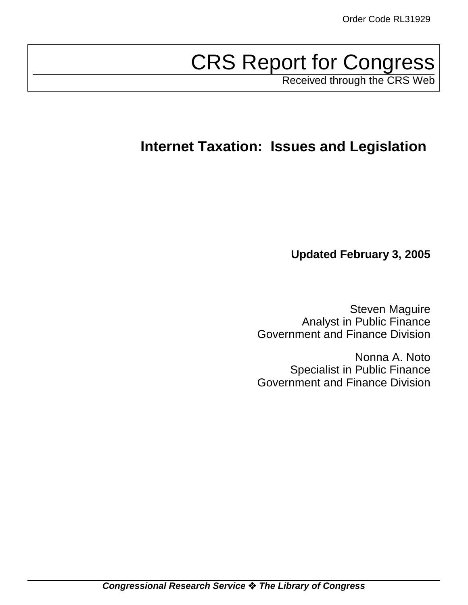# CRS Report for Congress

Received through the CRS Web

## **Internet Taxation: Issues and Legislation**

**Updated February 3, 2005**

Steven Maguire Analyst in Public Finance Government and Finance Division

Nonna A. Noto Specialist in Public Finance Government and Finance Division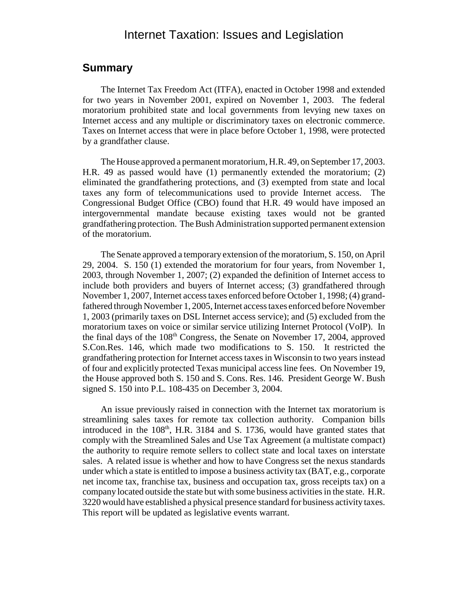#### Internet Taxation: Issues and Legislation

#### **Summary**

The Internet Tax Freedom Act (ITFA), enacted in October 1998 and extended for two years in November 2001, expired on November 1, 2003. The federal moratorium prohibited state and local governments from levying new taxes on Internet access and any multiple or discriminatory taxes on electronic commerce. Taxes on Internet access that were in place before October 1, 1998, were protected by a grandfather clause.

The House approved a permanent moratorium, H.R. 49, on September 17, 2003. H.R. 49 as passed would have (1) permanently extended the moratorium; (2) eliminated the grandfathering protections, and (3) exempted from state and local taxes any form of telecommunications used to provide Internet access. The Congressional Budget Office (CBO) found that H.R. 49 would have imposed an intergovernmental mandate because existing taxes would not be granted grandfathering protection. The Bush Administration supported permanent extension of the moratorium.

The Senate approved a temporary extension of the moratorium, S. 150, on April 29, 2004. S. 150 (1) extended the moratorium for four years, from November 1, 2003, through November 1, 2007; (2) expanded the definition of Internet access to include both providers and buyers of Internet access; (3) grandfathered through November 1, 2007, Internet access taxes enforced before October 1, 1998; (4) grandfathered through November 1, 2005, Internet access taxes enforced before November 1, 2003 (primarily taxes on DSL Internet access service); and (5) excluded from the moratorium taxes on voice or similar service utilizing Internet Protocol (VoIP). In the final days of the  $108<sup>th</sup>$  Congress, the Senate on November 17, 2004, approved S.Con.Res. 146, which made two modifications to S. 150. It restricted the grandfathering protection for Internet access taxes in Wisconsin to two years instead of four and explicitly protected Texas municipal access line fees. On November 19, the House approved both S. 150 and S. Cons. Res. 146. President George W. Bush signed S. 150 into P.L. 108-435 on December 3, 2004.

An issue previously raised in connection with the Internet tax moratorium is streamlining sales taxes for remote tax collection authority. Companion bills introduced in the  $108<sup>th</sup>$ , H.R. 3184 and S. 1736, would have granted states that comply with the Streamlined Sales and Use Tax Agreement (a multistate compact) the authority to require remote sellers to collect state and local taxes on interstate sales. A related issue is whether and how to have Congress set the nexus standards under which a state is entitled to impose a business activity tax (BAT, e.g., corporate net income tax, franchise tax, business and occupation tax, gross receipts tax) on a company located outside the state but with some business activities in the state. H.R. 3220 would have established a physical presence standard for business activity taxes. This report will be updated as legislative events warrant.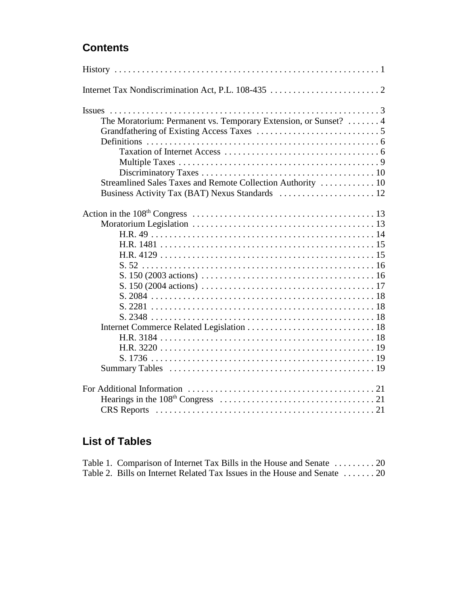## **Contents**

| The Moratorium: Permanent vs. Temporary Extension, or Sunset?  4                                                       |  |
|------------------------------------------------------------------------------------------------------------------------|--|
|                                                                                                                        |  |
|                                                                                                                        |  |
|                                                                                                                        |  |
|                                                                                                                        |  |
|                                                                                                                        |  |
| Streamlined Sales Taxes and Remote Collection Authority  10                                                            |  |
|                                                                                                                        |  |
|                                                                                                                        |  |
|                                                                                                                        |  |
|                                                                                                                        |  |
|                                                                                                                        |  |
|                                                                                                                        |  |
|                                                                                                                        |  |
|                                                                                                                        |  |
|                                                                                                                        |  |
| S. $150 (2004 \text{ actions}) \dots \dots \dots \dots \dots \dots \dots \dots \dots \dots \dots \dots \dots \dots 17$ |  |
|                                                                                                                        |  |
|                                                                                                                        |  |
|                                                                                                                        |  |
|                                                                                                                        |  |
|                                                                                                                        |  |
|                                                                                                                        |  |
|                                                                                                                        |  |
|                                                                                                                        |  |
|                                                                                                                        |  |
|                                                                                                                        |  |
|                                                                                                                        |  |
|                                                                                                                        |  |

## **List of Tables**

| Table 1. Comparison of Internet Tax Bills in the House and Senate  20     |  |
|---------------------------------------------------------------------------|--|
| Table 2. Bills on Internet Related Tax Issues in the House and Senate  20 |  |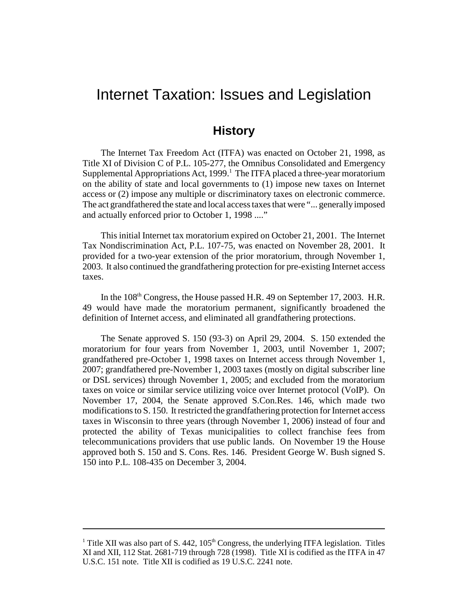## Internet Taxation: Issues and Legislation

#### **History**

The Internet Tax Freedom Act (ITFA) was enacted on October 21, 1998, as Title XI of Division C of P.L. 105-277, the Omnibus Consolidated and Emergency Supplemental Appropriations Act, 1999.<sup>1</sup> The ITFA placed a three-year moratorium on the ability of state and local governments to (1) impose new taxes on Internet access or (2) impose any multiple or discriminatory taxes on electronic commerce. The act grandfathered the state and local access taxes that were "... generally imposed and actually enforced prior to October 1, 1998 ...."

This initial Internet tax moratorium expired on October 21, 2001. The Internet Tax Nondiscrimination Act, P.L. 107-75, was enacted on November 28, 2001. It provided for a two-year extension of the prior moratorium, through November 1, 2003. It also continued the grandfathering protection for pre-existing Internet access taxes.

In the 108<sup>th</sup> Congress, the House passed H.R. 49 on September 17, 2003. H.R. 49 would have made the moratorium permanent, significantly broadened the definition of Internet access, and eliminated all grandfathering protections.

The Senate approved S. 150 (93-3) on April 29, 2004. S. 150 extended the moratorium for four years from November 1, 2003, until November 1, 2007; grandfathered pre-October 1, 1998 taxes on Internet access through November 1, 2007; grandfathered pre-November 1, 2003 taxes (mostly on digital subscriber line or DSL services) through November 1, 2005; and excluded from the moratorium taxes on voice or similar service utilizing voice over Internet protocol (VoIP). On November 17, 2004, the Senate approved S.Con.Res. 146, which made two modifications to S. 150. It restricted the grandfathering protection for Internet access taxes in Wisconsin to three years (through November 1, 2006) instead of four and protected the ability of Texas municipalities to collect franchise fees from telecommunications providers that use public lands. On November 19 the House approved both S. 150 and S. Cons. Res. 146. President George W. Bush signed S. 150 into P.L. 108-435 on December 3, 2004.

<sup>&</sup>lt;sup>1</sup> Title XII was also part of S. 442,  $105<sup>th</sup>$  Congress, the underlying ITFA legislation. Titles XI and XII, 112 Stat. 2681-719 through 728 (1998). Title XI is codified as the ITFA in 47 U.S.C. 151 note. Title XII is codified as 19 U.S.C. 2241 note.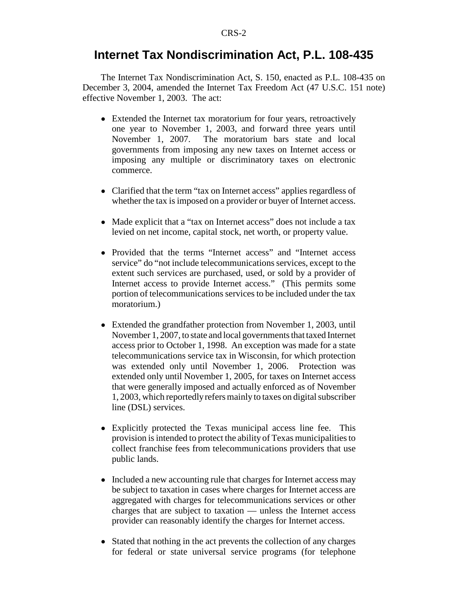#### **Internet Tax Nondiscrimination Act, P.L. 108-435**

The Internet Tax Nondiscrimination Act, S. 150, enacted as P.L. 108-435 on December 3, 2004, amended the Internet Tax Freedom Act (47 U.S.C. 151 note) effective November 1, 2003. The act:

- Extended the Internet tax moratorium for four years, retroactively one year to November 1, 2003, and forward three years until November 1, 2007. The moratorium bars state and local governments from imposing any new taxes on Internet access or imposing any multiple or discriminatory taxes on electronic commerce.
- Clarified that the term "tax on Internet access" applies regardless of whether the tax is imposed on a provider or buyer of Internet access.
- Made explicit that a "tax on Internet access" does not include a tax levied on net income, capital stock, net worth, or property value.
- ! Provided that the terms "Internet access" and "Internet access service" do "not include telecommunications services, except to the extent such services are purchased, used, or sold by a provider of Internet access to provide Internet access." (This permits some portion of telecommunications services to be included under the tax moratorium.)
- Extended the grandfather protection from November 1, 2003, until November 1, 2007, to state and local governments that taxed Internet access prior to October 1, 1998. An exception was made for a state telecommunications service tax in Wisconsin, for which protection was extended only until November 1, 2006. Protection was extended only until November 1, 2005, for taxes on Internet access that were generally imposed and actually enforced as of November 1, 2003, which reportedly refers mainly to taxes on digital subscriber line (DSL) services.
- ! Explicitly protected the Texas municipal access line fee. This provision is intended to protect the ability of Texas municipalities to collect franchise fees from telecommunications providers that use public lands.
- Included a new accounting rule that charges for Internet access may be subject to taxation in cases where charges for Internet access are aggregated with charges for telecommunications services or other charges that are subject to taxation — unless the Internet access provider can reasonably identify the charges for Internet access.
- Stated that nothing in the act prevents the collection of any charges for federal or state universal service programs (for telephone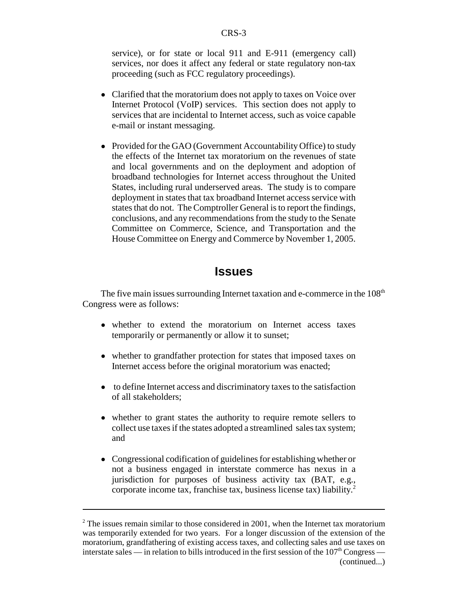service), or for state or local 911 and E-911 (emergency call) services, nor does it affect any federal or state regulatory non-tax proceeding (such as FCC regulatory proceedings).

- Clarified that the moratorium does not apply to taxes on Voice over Internet Protocol (VoIP) services. This section does not apply to services that are incidental to Internet access, such as voice capable e-mail or instant messaging.
- Provided for the GAO (Government Accountability Office) to study the effects of the Internet tax moratorium on the revenues of state and local governments and on the deployment and adoption of broadband technologies for Internet access throughout the United States, including rural underserved areas. The study is to compare deployment in states that tax broadband Internet access service with states that do not. The Comptroller General is to report the findings, conclusions, and any recommendations from the study to the Senate Committee on Commerce, Science, and Transportation and the House Committee on Energy and Commerce by November 1, 2005.

#### **Issues**

The five main issues surrounding Internet taxation and e-commerce in the  $108<sup>th</sup>$ Congress were as follows:

- whether to extend the moratorium on Internet access taxes temporarily or permanently or allow it to sunset;
- whether to grandfather protection for states that imposed taxes on Internet access before the original moratorium was enacted;
- to define Internet access and discriminatory taxes to the satisfaction of all stakeholders;
- whether to grant states the authority to require remote sellers to collect use taxes if the states adopted a streamlined sales tax system; and
- Congressional codification of guidelines for establishing whether or not a business engaged in interstate commerce has nexus in a jurisdiction for purposes of business activity tax (BAT, e.g., corporate income tax, franchise tax, business license tax) liability.2

 $2^2$  The issues remain similar to those considered in 2001, when the Internet tax moratorium was temporarily extended for two years. For a longer discussion of the extension of the moratorium, grandfathering of existing access taxes, and collecting sales and use taxes on interstate sales — in relation to bills introduced in the first session of the  $107<sup>th</sup> Congress$ (continued...)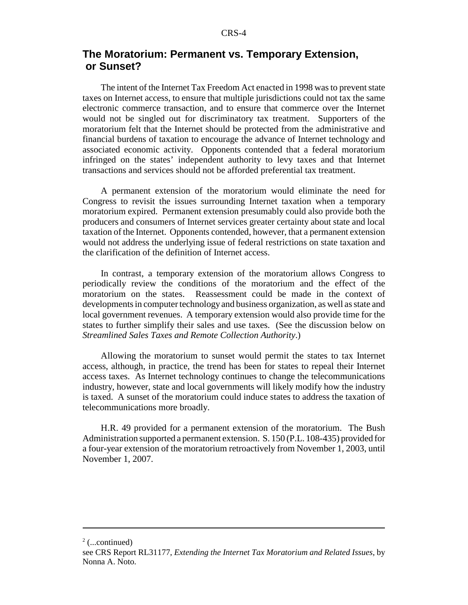#### **The Moratorium: Permanent vs. Temporary Extension, or Sunset?**

The intent of the Internet Tax Freedom Act enacted in 1998 was to prevent state taxes on Internet access, to ensure that multiple jurisdictions could not tax the same electronic commerce transaction, and to ensure that commerce over the Internet would not be singled out for discriminatory tax treatment. Supporters of the moratorium felt that the Internet should be protected from the administrative and financial burdens of taxation to encourage the advance of Internet technology and associated economic activity. Opponents contended that a federal moratorium infringed on the states' independent authority to levy taxes and that Internet transactions and services should not be afforded preferential tax treatment.

A permanent extension of the moratorium would eliminate the need for Congress to revisit the issues surrounding Internet taxation when a temporary moratorium expired. Permanent extension presumably could also provide both the producers and consumers of Internet services greater certainty about state and local taxation of the Internet. Opponents contended, however, that a permanent extension would not address the underlying issue of federal restrictions on state taxation and the clarification of the definition of Internet access.

In contrast, a temporary extension of the moratorium allows Congress to periodically review the conditions of the moratorium and the effect of the moratorium on the states. Reassessment could be made in the context of developments in computer technology and business organization, as well as state and local government revenues. A temporary extension would also provide time for the states to further simplify their sales and use taxes. (See the discussion below on *Streamlined Sales Taxes and Remote Collection Authority*.)

Allowing the moratorium to sunset would permit the states to tax Internet access, although, in practice, the trend has been for states to repeal their Internet access taxes. As Internet technology continues to change the telecommunications industry, however, state and local governments will likely modify how the industry is taxed. A sunset of the moratorium could induce states to address the taxation of telecommunications more broadly.

H.R. 49 provided for a permanent extension of the moratorium. The Bush Administration supported a permanent extension. S. 150 (P.L. 108-435) provided for a four-year extension of the moratorium retroactively from November 1, 2003, until November 1, 2007.

 $2$  (...continued)

see CRS Report RL31177, *Extending the Internet Tax Moratorium and Related Issues*, by Nonna A. Noto.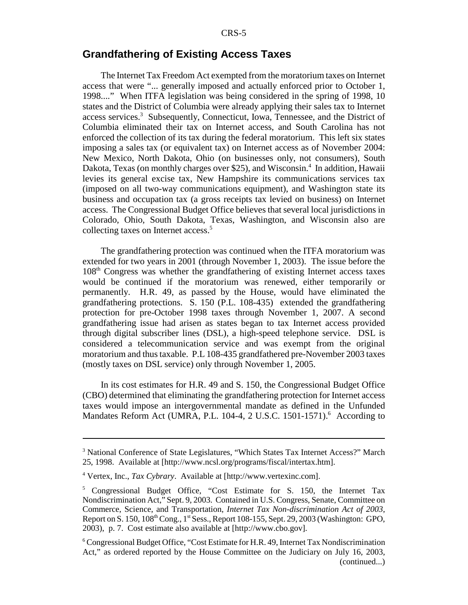#### **Grandfathering of Existing Access Taxes**

The Internet Tax Freedom Act exempted from the moratorium taxes on Internet access that were "... generally imposed and actually enforced prior to October 1, 1998...." When ITFA legislation was being considered in the spring of 1998, 10 states and the District of Columbia were already applying their sales tax to Internet access services.<sup>3</sup> Subsequently, Connecticut, Iowa, Tennessee, and the District of Columbia eliminated their tax on Internet access, and South Carolina has not enforced the collection of its tax during the federal moratorium. This left six states imposing a sales tax (or equivalent tax) on Internet access as of November 2004: New Mexico, North Dakota, Ohio (on businesses only, not consumers), South Dakota, Texas (on monthly charges over \$25), and Wisconsin.<sup>4</sup> In addition, Hawaii levies its general excise tax, New Hampshire its communications services tax (imposed on all two-way communications equipment), and Washington state its business and occupation tax (a gross receipts tax levied on business) on Internet access. The Congressional Budget Office believes that several local jurisdictions in Colorado, Ohio, South Dakota, Texas, Washington, and Wisconsin also are collecting taxes on Internet access.<sup>5</sup>

The grandfathering protection was continued when the ITFA moratorium was extended for two years in 2001 (through November 1, 2003). The issue before the 108th Congress was whether the grandfathering of existing Internet access taxes would be continued if the moratorium was renewed, either temporarily or permanently. H.R. 49, as passed by the House, would have eliminated the grandfathering protections. S. 150 (P.L. 108-435) extended the grandfathering protection for pre-October 1998 taxes through November 1, 2007. A second grandfathering issue had arisen as states began to tax Internet access provided through digital subscriber lines (DSL), a high-speed telephone service. DSL is considered a telecommunication service and was exempt from the original moratorium and thus taxable. P.L 108-435 grandfathered pre-November 2003 taxes (mostly taxes on DSL service) only through November 1, 2005.

In its cost estimates for H.R. 49 and S. 150, the Congressional Budget Office (CBO) determined that eliminating the grandfathering protection for Internet access taxes would impose an intergovernmental mandate as defined in the Unfunded Mandates Reform Act (UMRA, P.L. 104-4, 2 U.S.C. 1501-1571).<sup>6</sup> According to

<sup>&</sup>lt;sup>3</sup> National Conference of State Legislatures, "Which States Tax Internet Access?" March 25, 1998. Available at [http://www.ncsl.org/programs/fiscal/intertax.htm].

<sup>4</sup> Vertex, Inc., *Tax Cybrary*. Available at [http://www.vertexinc.com].

<sup>&</sup>lt;sup>5</sup> Congressional Budget Office, "Cost Estimate for S. 150, the Internet Tax Nondiscrimination Act," Sept. 9, 2003. Contained in U.S. Congress, Senate, Committee on Commerce, Science, and Transportation, *Internet Tax Non-discrimination Act of 2003*, Report on S. 150,  $108<sup>th</sup> Cong., 1<sup>st</sup> Sess., Report 108-155, Sept. 29, 2003 (Washington: GPO,$ 2003), p. 7. Cost estimate also available at [http://www.cbo.gov].

<sup>&</sup>lt;sup>6</sup> Congressional Budget Office, "Cost Estimate for H.R. 49, Internet Tax Nondiscrimination Act," as ordered reported by the House Committee on the Judiciary on July 16, 2003, (continued...)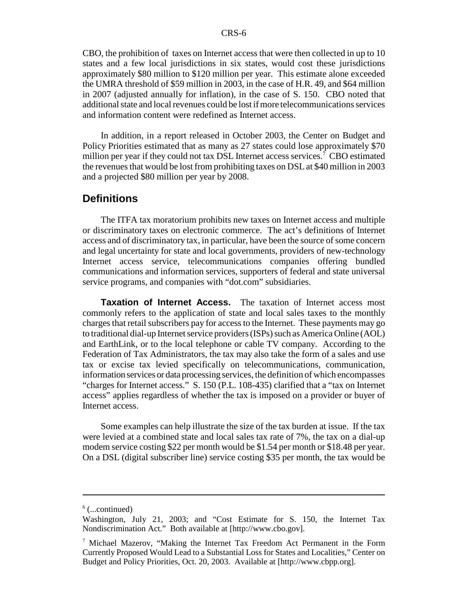CBO, the prohibition of taxes on Internet access that were then collected in up to 10 states and a few local jurisdictions in six states, would cost these jurisdictions approximately \$80 million to \$120 million per year. This estimate alone exceeded the UMRA threshold of \$59 million in 2003, in the case of H.R. 49, and \$64 million in 2007 (adjusted annually for inflation), in the case of S. 150. CBO noted that additional state and local revenues could be lost if more telecommunications services and information content were redefined as Internet access.

In addition, in a report released in October 2003, the Center on Budget and Policy Priorities estimated that as many as 27 states could lose approximately \$70 million per year if they could not tax DSL Internet access services.<sup>7</sup> CBO estimated the revenues that would be lost from prohibiting taxes on DSL at \$40 million in 2003 and a projected \$80 million per year by 2008.

#### **Definitions**

The ITFA tax moratorium prohibits new taxes on Internet access and multiple or discriminatory taxes on electronic commerce. The act's definitions of Internet access and of discriminatory tax, in particular, have been the source of some concern and legal uncertainty for state and local governments, providers of new-technology Internet access service, telecommunications companies offering bundled communications and information services, supporters of federal and state universal service programs, and companies with "dot.com" subsidiaries.

**Taxation of Internet Access.** The taxation of Internet access most commonly refers to the application of state and local sales taxes to the monthly charges that retail subscribers pay for access to the Internet. These payments may go to traditional dial-up Internet service providers (ISPs) such as America Online (AOL) and EarthLink, or to the local telephone or cable TV company. According to the Federation of Tax Administrators, the tax may also take the form of a sales and use tax or excise tax levied specifically on telecommunications, communication, information services or data processing services, the definition of which encompasses "charges for Internet access." S. 150 (P.L. 108-435) clarified that a "tax on Internet access" applies regardless of whether the tax is imposed on a provider or buyer of Internet access.

Some examples can help illustrate the size of the tax burden at issue. If the tax were levied at a combined state and local sales tax rate of 7%, the tax on a dial-up modem service costing \$22 per month would be \$1.54 per month or \$18.48 per year. On a DSL (digital subscriber line) service costing \$35 per month, the tax would be

 $6$  (...continued)

Washington, July 21, 2003; and "Cost Estimate for S. 150, the Internet Tax Nondiscrimination Act." Both available at [http://www.cbo.gov].

<sup>7</sup> Michael Mazerov, "Making the Internet Tax Freedom Act Permanent in the Form Currently Proposed Would Lead to a Substantial Loss for States and Localities," Center on Budget and Policy Priorities, Oct. 20, 2003. Available at [http://www.cbpp.org].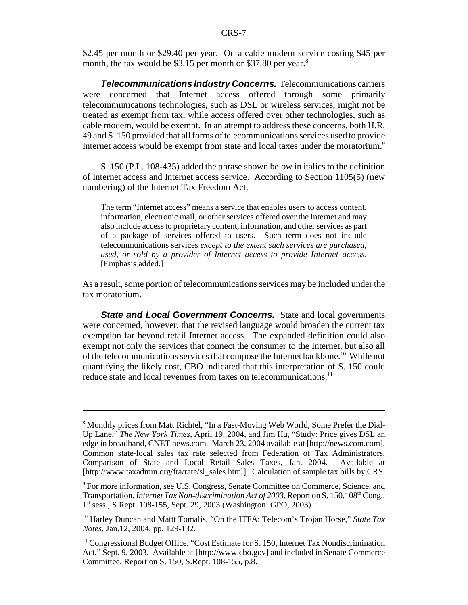\$2.45 per month or \$29.40 per year. On a cable modem service costing \$45 per month, the tax would be \$3.15 per month or \$37.80 per year. $8^{\circ}$ 

*Telecommunications Industry Concerns.* Telecommunications carriers were concerned that Internet access offered through some primarily telecommunications technologies, such as DSL or wireless services, might not be treated as exempt from tax, while access offered over other technologies, such as cable modem, would be exempt. In an attempt to address these concerns, both H.R. 49 and S. 150 provided that all forms of telecommunications services used to provide Internet access would be exempt from state and local taxes under the moratorium.<sup>9</sup>

S. 150 (P.L. 108-435) added the phrase shown below in italics to the definition of Internet access and Internet access service. According to Section 1105(5) (new numbering) of the Internet Tax Freedom Act,

The term "Internet access" means a service that enables users to access content, information, electronic mail, or other services offered over the Internet and may also include access to proprietary content, information, and other services as part of a package of services offered to users. Such term does not include telecommunications services *except to the extent such services are purchased, used, or sold by a provider of Internet access to provide Internet access*. [Emphasis added.]

As a result, some portion of telecommunications services may be included under the tax moratorium.

**State and Local Government Concerns.** State and local governments were concerned, however, that the revised language would broaden the current tax exemption far beyond retail Internet access. The expanded definition could also exempt not only the services that connect the consumer to the Internet, but also all of the telecommunications services that compose the Internet backbone.10 While not quantifying the likely cost, CBO indicated that this interpretation of S. 150 could reduce state and local revenues from taxes on telecommunications.<sup>11</sup>

<sup>&</sup>lt;sup>8</sup> Monthly prices from Matt Richtel, "In a Fast-Moving Web World, Some Prefer the Dial-Up Lane," *The New York Times*, April 19, 2004, and Jim Hu, "Study: Price gives DSL an edge in broadband, CNET news.com, March 23, 2004 available at [http://news.com.com]. Common state-local sales tax rate selected from Federation of Tax Administrators, Comparison of State and Local Retail Sales Taxes, Jan. 2004. Available at [http://www.taxadmin.org/fta/rate/sl\_sales.html]. Calculation of sample tax bills by CRS.

<sup>&</sup>lt;sup>9</sup> For more information, see U.S. Congress, Senate Committee on Commerce, Science, and Transportation, *Internet Tax Non-discrimination Act of 2003*, Report on S. 150,108<sup>th</sup> Cong., 1st sess., S.Rept. 108-155, Sept. 29, 2003 (Washington: GPO, 2003).

<sup>&</sup>lt;sup>10</sup> Harley Duncan and Mattt Tomalis, "On the ITFA: Telecom's Trojan Horse," State Tax *Notes*, Jan.12, 2004, pp. 129-132.

<sup>&</sup>lt;sup>11</sup> Congressional Budget Office, "Cost Estimate for S. 150, Internet Tax Nondiscrimination Act," Sept. 9, 2003. Available at [http://www.cbo.gov] and included in Senate Commerce Committee, Report on S. 150, S.Rept. 108-155, p.8.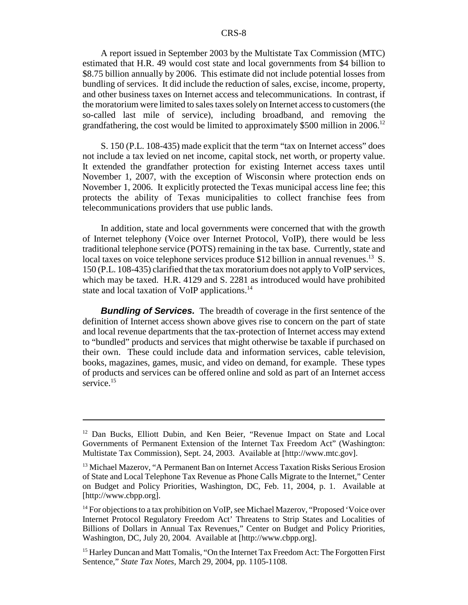A report issued in September 2003 by the Multistate Tax Commission (MTC) estimated that H.R. 49 would cost state and local governments from \$4 billion to \$8.75 billion annually by 2006. This estimate did not include potential losses from bundling of services. It did include the reduction of sales, excise, income, property, and other business taxes on Internet access and telecommunications. In contrast, if the moratorium were limited to sales taxes solely on Internet access to customers (the so-called last mile of service), including broadband, and removing the grandfathering, the cost would be limited to approximately \$500 million in 2006.<sup>12</sup>

S. 150 (P.L. 108-435) made explicit that the term "tax on Internet access" does not include a tax levied on net income, capital stock, net worth, or property value. It extended the grandfather protection for existing Internet access taxes until November 1, 2007, with the exception of Wisconsin where protection ends on November 1, 2006. It explicitly protected the Texas municipal access line fee; this protects the ability of Texas municipalities to collect franchise fees from telecommunications providers that use public lands.

In addition, state and local governments were concerned that with the growth of Internet telephony (Voice over Internet Protocol, VoIP), there would be less traditional telephone service (POTS) remaining in the tax base. Currently, state and local taxes on voice telephone services produce \$12 billion in annual revenues.<sup>13</sup> S. 150 (P.L. 108-435) clarified that the tax moratorium does not apply to VoIP services, which may be taxed. H.R. 4129 and S. 2281 as introduced would have prohibited state and local taxation of VoIP applications.<sup>14</sup>

*Bundling of Services.* The breadth of coverage in the first sentence of the definition of Internet access shown above gives rise to concern on the part of state and local revenue departments that the tax-protection of Internet access may extend to "bundled" products and services that might otherwise be taxable if purchased on their own. These could include data and information services, cable television, books, magazines, games, music, and video on demand, for example. These types of products and services can be offered online and sold as part of an Internet access service.<sup>15</sup>

 $12$  Dan Bucks, Elliott Dubin, and Ken Beier, "Revenue Impact on State and Local Governments of Permanent Extension of the Internet Tax Freedom Act" (Washington: Multistate Tax Commission), Sept. 24, 2003. Available at [http://www.mtc.gov].

<sup>&</sup>lt;sup>13</sup> Michael Mazerov, "A Permanent Ban on Internet Access Taxation Risks Serious Erosion of State and Local Telephone Tax Revenue as Phone Calls Migrate to the Internet," Center on Budget and Policy Priorities, Washington, DC, Feb. 11, 2004, p. 1. Available at [http://www.cbpp.org].

 $14$  For objections to a tax prohibition on VoIP, see Michael Mazerov, "Proposed 'Voice over Internet Protocol Regulatory Freedom Act' Threatens to Strip States and Localities of Billions of Dollars in Annual Tax Revenues," Center on Budget and Policy Priorities, Washington, DC, July 20, 2004. Available at [http://www.cbpp.org].

<sup>&</sup>lt;sup>15</sup> Harley Duncan and Matt Tomalis, "On the Internet Tax Freedom Act: The Forgotten First Sentence," *State Tax Notes*, March 29, 2004, pp. 1105-1108.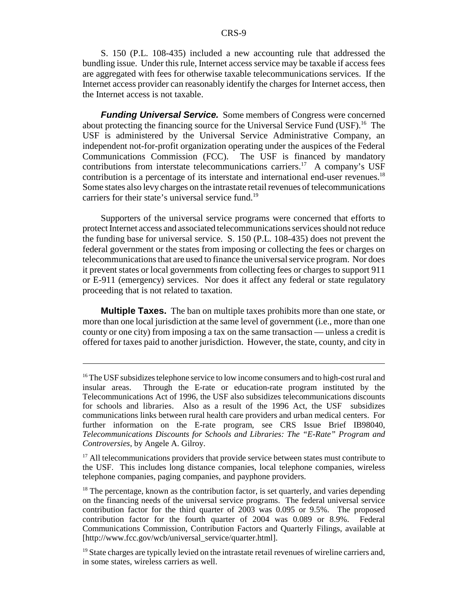S. 150 (P.L. 108-435) included a new accounting rule that addressed the bundling issue. Under this rule, Internet access service may be taxable if access fees are aggregated with fees for otherwise taxable telecommunications services. If the Internet access provider can reasonably identify the charges for Internet access, then the Internet access is not taxable.

*Funding Universal Service.* Some members of Congress were concerned about protecting the financing source for the Universal Service Fund  $(USF)^{16}$ . The USF is administered by the Universal Service Administrative Company, an independent not-for-profit organization operating under the auspices of the Federal Communications Commission (FCC). The USF is financed by mandatory contributions from interstate telecommunications carriers.<sup>17</sup> A company's USF contribution is a percentage of its interstate and international end-user revenues.<sup>18</sup> Some states also levy charges on the intrastate retail revenues of telecommunications carriers for their state's universal service fund.<sup>19</sup>

Supporters of the universal service programs were concerned that efforts to protect Internet access and associated telecommunications services should not reduce the funding base for universal service. S. 150 (P.L. 108-435) does not prevent the federal government or the states from imposing or collecting the fees or charges on telecommunications that are used to finance the universal service program. Nor does it prevent states or local governments from collecting fees or charges to support 911 or E-911 (emergency) services. Nor does it affect any federal or state regulatory proceeding that is not related to taxation.

**Multiple Taxes.** The ban on multiple taxes prohibits more than one state, or more than one local jurisdiction at the same level of government (i.e., more than one county or one city) from imposing a tax on the same transaction — unless a credit is offered for taxes paid to another jurisdiction. However, the state, county, and city in

<sup>&</sup>lt;sup>16</sup> The USF subsidizes telephone service to low income consumers and to high-cost rural and insular areas. Through the E-rate or education-rate program instituted by the Telecommunications Act of 1996, the USF also subsidizes telecommunications discounts for schools and libraries. Also as a result of the 1996 Act, the USF subsidizes communications links between rural health care providers and urban medical centers. For further information on the E-rate program, see CRS Issue Brief IB98040, *Telecommunications Discounts for Schools and Libraries: The "E-Rate" Program and Controversies*, by Angele A. Gilroy.

<sup>&</sup>lt;sup>17</sup> All telecommunications providers that provide service between states must contribute to the USF. This includes long distance companies, local telephone companies, wireless telephone companies, paging companies, and payphone providers.

 $18$  The percentage, known as the contribution factor, is set quarterly, and varies depending on the financing needs of the universal service programs. The federal universal service contribution factor for the third quarter of 2003 was 0.095 or 9.5%. The proposed contribution factor for the fourth quarter of 2004 was 0.089 or 8.9%. Federal Communications Commission, Contribution Factors and Quarterly Filings, available at [http://www.fcc.gov/wcb/universal\_service/quarter.html].

 $19$  State charges are typically levied on the intrastate retail revenues of wireline carriers and, in some states, wireless carriers as well.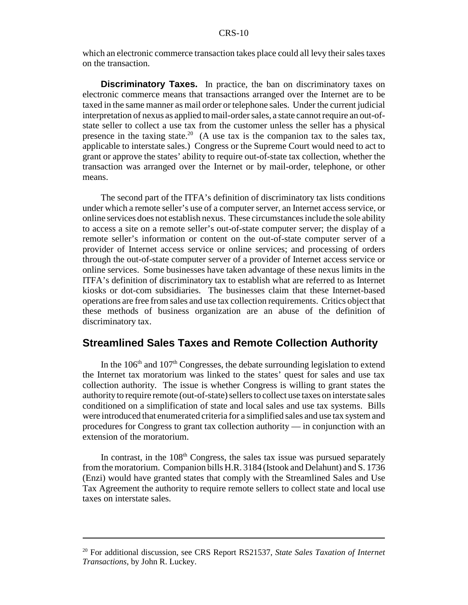which an electronic commerce transaction takes place could all levy their sales taxes on the transaction.

**Discriminatory Taxes.** In practice, the ban on discriminatory taxes on electronic commerce means that transactions arranged over the Internet are to be taxed in the same manner as mail order or telephone sales. Under the current judicial interpretation of nexus as applied to mail-order sales, a state cannot require an out-ofstate seller to collect a use tax from the customer unless the seller has a physical presence in the taxing state.<sup>20</sup> (A use tax is the companion tax to the sales tax, applicable to interstate sales.) Congress or the Supreme Court would need to act to grant or approve the states' ability to require out-of-state tax collection, whether the transaction was arranged over the Internet or by mail-order, telephone, or other means.

The second part of the ITFA's definition of discriminatory tax lists conditions under which a remote seller's use of a computer server, an Internet access service, or online services does not establish nexus. These circumstances include the sole ability to access a site on a remote seller's out-of-state computer server; the display of a remote seller's information or content on the out-of-state computer server of a provider of Internet access service or online services; and processing of orders through the out-of-state computer server of a provider of Internet access service or online services. Some businesses have taken advantage of these nexus limits in the ITFA's definition of discriminatory tax to establish what are referred to as Internet kiosks or dot-com subsidiaries. The businesses claim that these Internet-based operations are free from sales and use tax collection requirements. Critics object that these methods of business organization are an abuse of the definition of discriminatory tax.

#### **Streamlined Sales Taxes and Remote Collection Authority**

In the  $106<sup>th</sup>$  and  $107<sup>th</sup>$  Congresses, the debate surrounding legislation to extend the Internet tax moratorium was linked to the states' quest for sales and use tax collection authority. The issue is whether Congress is willing to grant states the authority to require remote (out-of-state) sellers to collect use taxes on interstate sales conditioned on a simplification of state and local sales and use tax systems. Bills were introduced that enumerated criteria for a simplified sales and use tax system and procedures for Congress to grant tax collection authority — in conjunction with an extension of the moratorium.

In contrast, in the  $108<sup>th</sup>$  Congress, the sales tax issue was pursued separately from the moratorium. Companion bills H.R. 3184 (Istook and Delahunt) and S. 1736 (Enzi) would have granted states that comply with the Streamlined Sales and Use Tax Agreement the authority to require remote sellers to collect state and local use taxes on interstate sales.

<sup>20</sup> For additional discussion, see CRS Report RS21537, *State Sales Taxation of Internet Transactions*, by John R. Luckey.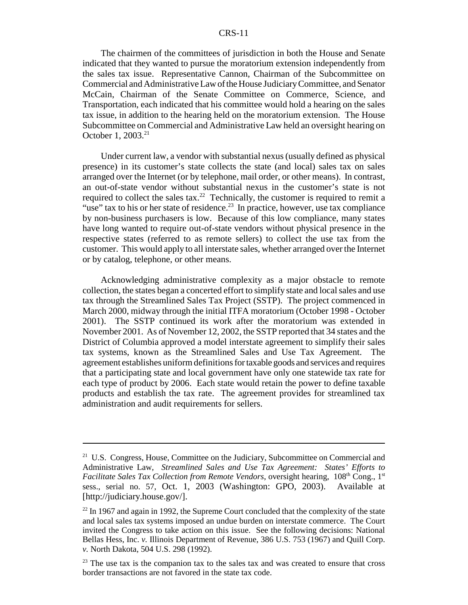The chairmen of the committees of jurisdiction in both the House and Senate indicated that they wanted to pursue the moratorium extension independently from the sales tax issue. Representative Cannon, Chairman of the Subcommittee on Commercial and Administrative Law of the House Judiciary Committee, and Senator McCain, Chairman of the Senate Committee on Commerce, Science, and Transportation, each indicated that his committee would hold a hearing on the sales tax issue, in addition to the hearing held on the moratorium extension. The House Subcommittee on Commercial and Administrative Law held an oversight hearing on October 1, 2003.<sup>21</sup>

Under current law, a vendor with substantial nexus (usually defined as physical presence) in its customer's state collects the state (and local) sales tax on sales arranged over the Internet (or by telephone, mail order, or other means). In contrast, an out-of-state vendor without substantial nexus in the customer's state is not required to collect the sales tax.<sup>22</sup> Technically, the customer is required to remit a "use" tax to his or her state of residence.<sup>23</sup> In practice, however, use tax compliance by non-business purchasers is low. Because of this low compliance, many states have long wanted to require out-of-state vendors without physical presence in the respective states (referred to as remote sellers) to collect the use tax from the customer. This would apply to all interstate sales, whether arranged over the Internet or by catalog, telephone, or other means.

Acknowledging administrative complexity as a major obstacle to remote collection, the states began a concerted effort to simplify state and local sales and use tax through the Streamlined Sales Tax Project (SSTP). The project commenced in March 2000, midway through the initial ITFA moratorium (October 1998 - October 2001). The SSTP continued its work after the moratorium was extended in November 2001. As of November 12, 2002, the SSTP reported that 34 states and the District of Columbia approved a model interstate agreement to simplify their sales tax systems, known as the Streamlined Sales and Use Tax Agreement. The agreement establishes uniform definitions for taxable goods and services and requires that a participating state and local government have only one statewide tax rate for each type of product by 2006. Each state would retain the power to define taxable products and establish the tax rate. The agreement provides for streamlined tax administration and audit requirements for sellers.

<sup>&</sup>lt;sup>21</sup> U.S. Congress, House, Committee on the Judiciary, Subcommittee on Commercial and Administrative Law, *Streamlined Sales and Use Tax Agreement: States' Efforts to Facilitate Sales Tax Collection from Remote Vendors*, oversight hearing, 108<sup>th</sup> Cong., 1<sup>st</sup> sess., serial no. 57, Oct. 1, 2003 (Washington: GPO, 2003). Available at [http://judiciary.house.gov/].

 $^{22}$  In 1967 and again in 1992, the Supreme Court concluded that the complexity of the state and local sales tax systems imposed an undue burden on interstate commerce. The Court invited the Congress to take action on this issue. See the following decisions: National Bellas Hess, Inc. *v.* Illinois Department of Revenue, 386 U.S. 753 (1967) and Quill Corp. *v.* North Dakota, 504 U.S. 298 (1992).

 $23$  The use tax is the companion tax to the sales tax and was created to ensure that cross border transactions are not favored in the state tax code.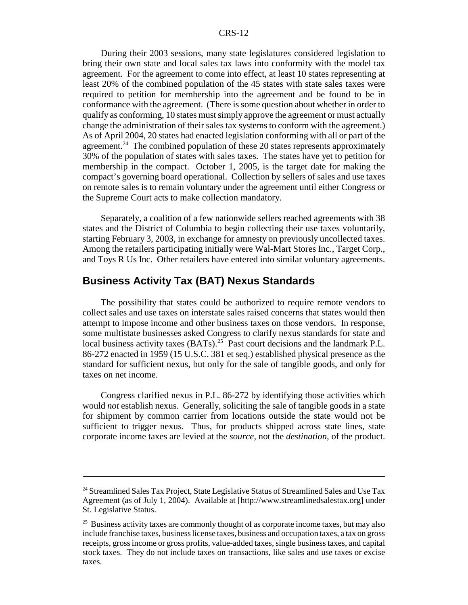During their 2003 sessions, many state legislatures considered legislation to bring their own state and local sales tax laws into conformity with the model tax agreement. For the agreement to come into effect, at least 10 states representing at least 20% of the combined population of the 45 states with state sales taxes were required to petition for membership into the agreement and be found to be in conformance with the agreement. (There is some question about whether in order to qualify as conforming, 10 states must simply approve the agreement or must actually change the administration of their sales tax systems to conform with the agreement.) As of April 2004, 20 states had enacted legislation conforming with all or part of the agreement.<sup>24</sup> The combined population of these 20 states represents approximately 30% of the population of states with sales taxes. The states have yet to petition for membership in the compact. October 1, 2005, is the target date for making the compact's governing board operational. Collection by sellers of sales and use taxes on remote sales is to remain voluntary under the agreement until either Congress or the Supreme Court acts to make collection mandatory.

Separately, a coalition of a few nationwide sellers reached agreements with 38 states and the District of Columbia to begin collecting their use taxes voluntarily, starting February 3, 2003, in exchange for amnesty on previously uncollected taxes. Among the retailers participating initially were Wal-Mart Stores Inc., Target Corp., and Toys R Us Inc. Other retailers have entered into similar voluntary agreements.

#### **Business Activity Tax (BAT) Nexus Standards**

The possibility that states could be authorized to require remote vendors to collect sales and use taxes on interstate sales raised concerns that states would then attempt to impose income and other business taxes on those vendors. In response, some multistate businesses asked Congress to clarify nexus standards for state and local business activity taxes  $(BATs).^{25}$  Past court decisions and the landmark P.L. 86-272 enacted in 1959 (15 U.S.C. 381 et seq.) established physical presence as the standard for sufficient nexus, but only for the sale of tangible goods, and only for taxes on net income.

Congress clarified nexus in P.L. 86-272 by identifying those activities which would *not* establish nexus. Generally, soliciting the sale of tangible goods in a state for shipment by common carrier from locations outside the state would not be sufficient to trigger nexus. Thus, for products shipped across state lines, state corporate income taxes are levied at the *source*, not the *destination*, of the product.

<sup>&</sup>lt;sup>24</sup> Streamlined Sales Tax Project, State Legislative Status of Streamlined Sales and Use Tax Agreement (as of July 1, 2004). Available at [http://www.streamlinedsalestax.org] under St. Legislative Status.

<sup>&</sup>lt;sup>25</sup> Business activity taxes are commonly thought of as corporate income taxes, but may also include franchise taxes, business license taxes, business and occupation taxes, a tax on gross receipts, gross income or gross profits, value-added taxes, single business taxes, and capital stock taxes. They do not include taxes on transactions, like sales and use taxes or excise taxes.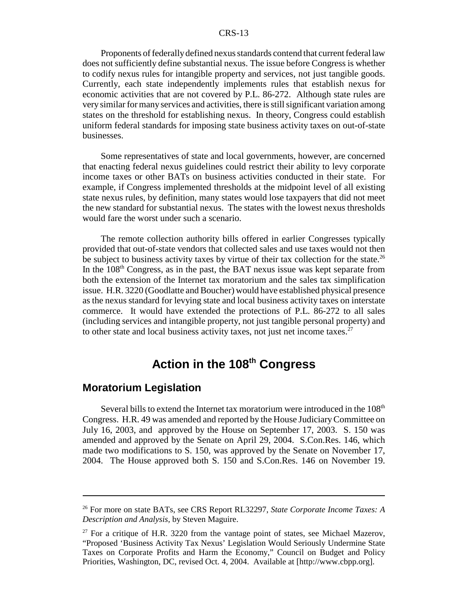Proponents of federally defined nexus standards contend that current federal law does not sufficiently define substantial nexus. The issue before Congress is whether to codify nexus rules for intangible property and services, not just tangible goods. Currently, each state independently implements rules that establish nexus for economic activities that are not covered by P.L. 86-272. Although state rules are very similar for many services and activities, there is still significant variation among states on the threshold for establishing nexus. In theory, Congress could establish uniform federal standards for imposing state business activity taxes on out-of-state businesses.

Some representatives of state and local governments, however, are concerned that enacting federal nexus guidelines could restrict their ability to levy corporate income taxes or other BATs on business activities conducted in their state. For example, if Congress implemented thresholds at the midpoint level of all existing state nexus rules, by definition, many states would lose taxpayers that did not meet the new standard for substantial nexus. The states with the lowest nexus thresholds would fare the worst under such a scenario.

The remote collection authority bills offered in earlier Congresses typically provided that out-of-state vendors that collected sales and use taxes would not then be subject to business activity taxes by virtue of their tax collection for the state.<sup>26</sup> In the  $108<sup>th</sup>$  Congress, as in the past, the BAT nexus issue was kept separate from both the extension of the Internet tax moratorium and the sales tax simplification issue. H.R. 3220 (Goodlatte and Boucher) would have established physical presence as the nexus standard for levying state and local business activity taxes on interstate commerce. It would have extended the protections of P.L. 86-272 to all sales (including services and intangible property, not just tangible personal property) and to other state and local business activity taxes, not just net income taxes.<sup>27</sup>

## **Action in the 108th Congress**

#### **Moratorium Legislation**

Several bills to extend the Internet tax moratorium were introduced in the  $108<sup>th</sup>$ Congress. H.R. 49 was amended and reported by the House Judiciary Committee on July 16, 2003, and approved by the House on September 17, 2003. S. 150 was amended and approved by the Senate on April 29, 2004. S.Con.Res. 146, which made two modifications to S. 150, was approved by the Senate on November 17, 2004. The House approved both S. 150 and S.Con.Res. 146 on November 19.

<sup>26</sup> For more on state BATs, see CRS Report RL32297, *State Corporate Income Taxes: A Description and Analysis,* by Steven Maguire.

 $27$  For a critique of H.R. 3220 from the vantage point of states, see Michael Mazerov, "Proposed 'Business Activity Tax Nexus' Legislation Would Seriously Undermine State Taxes on Corporate Profits and Harm the Economy," Council on Budget and Policy Priorities, Washington, DC, revised Oct. 4, 2004. Available at [http://www.cbpp.org].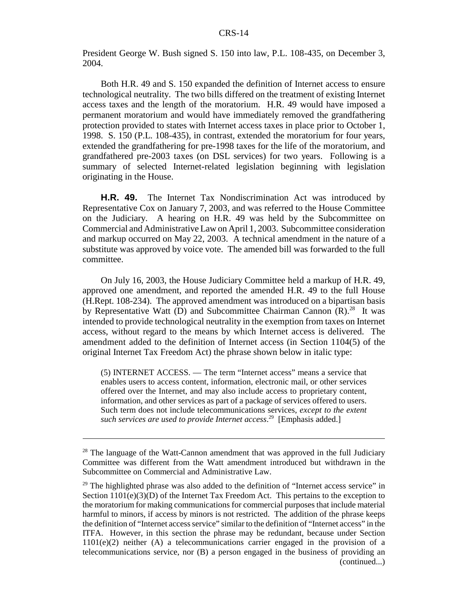President George W. Bush signed S. 150 into law, P.L. 108-435, on December 3, 2004.

Both H.R. 49 and S. 150 expanded the definition of Internet access to ensure technological neutrality. The two bills differed on the treatment of existing Internet access taxes and the length of the moratorium. H.R. 49 would have imposed a permanent moratorium and would have immediately removed the grandfathering protection provided to states with Internet access taxes in place prior to October 1, 1998. S. 150 (P.L. 108-435), in contrast, extended the moratorium for four years, extended the grandfathering for pre-1998 taxes for the life of the moratorium, and grandfathered pre-2003 taxes (on DSL services) for two years. Following is a summary of selected Internet-related legislation beginning with legislation originating in the House.

**H.R. 49.** The Internet Tax Nondiscrimination Act was introduced by Representative Cox on January 7, 2003, and was referred to the House Committee on the Judiciary. A hearing on H.R. 49 was held by the Subcommittee on Commercial and Administrative Law on April 1, 2003. Subcommittee consideration and markup occurred on May 22, 2003. A technical amendment in the nature of a substitute was approved by voice vote. The amended bill was forwarded to the full committee.

On July 16, 2003, the House Judiciary Committee held a markup of H.R. 49, approved one amendment, and reported the amended H.R. 49 to the full House (H.Rept. 108-234). The approved amendment was introduced on a bipartisan basis by Representative Watt (D) and Subcommittee Chairman Cannon  $(R)$ .<sup>28</sup> It was intended to provide technological neutrality in the exemption from taxes on Internet access, without regard to the means by which Internet access is delivered. The amendment added to the definition of Internet access (in Section 1104(5) of the original Internet Tax Freedom Act) the phrase shown below in italic type:

(5) INTERNET ACCESS. — The term "Internet access" means a service that enables users to access content, information, electronic mail, or other services offered over the Internet, and may also include access to proprietary content, information, and other services as part of a package of services offered to users. Such term does not include telecommunications services, *except to the extent such services are used to provide Internet access*. 29 [Emphasis added.]

<sup>&</sup>lt;sup>28</sup> The language of the Watt-Cannon amendment that was approved in the full Judiciary Committee was different from the Watt amendment introduced but withdrawn in the Subcommittee on Commercial and Administrative Law.

<sup>&</sup>lt;sup>29</sup> The highlighted phrase was also added to the definition of "Internet access service" in Section  $1101(e)(3)(D)$  of the Internet Tax Freedom Act. This pertains to the exception to the moratorium for making communications for commercial purposes that include material harmful to minors, if access by minors is not restricted. The addition of the phrase keeps the definition of "Internet access service" similar to the definition of "Internet access" in the ITFA. However, in this section the phrase may be redundant, because under Section  $1101(e)(2)$  neither (A) a telecommunications carrier engaged in the provision of a telecommunications service, nor (B) a person engaged in the business of providing an (continued...)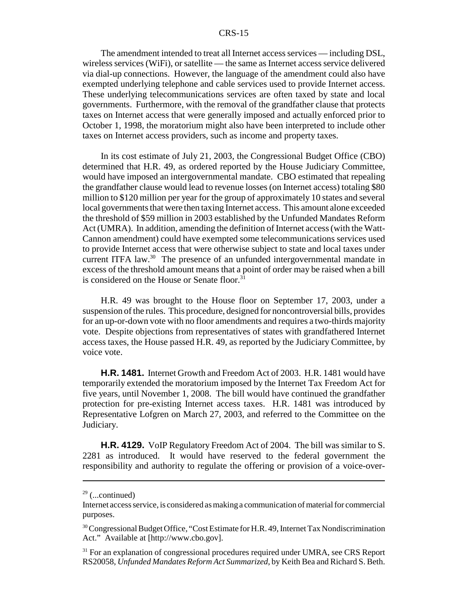The amendment intended to treat all Internet access services — including DSL, wireless services (WiFi), or satellite — the same as Internet access service delivered via dial-up connections. However, the language of the amendment could also have exempted underlying telephone and cable services used to provide Internet access. These underlying telecommunications services are often taxed by state and local governments. Furthermore, with the removal of the grandfather clause that protects taxes on Internet access that were generally imposed and actually enforced prior to October 1, 1998, the moratorium might also have been interpreted to include other taxes on Internet access providers, such as income and property taxes.

In its cost estimate of July 21, 2003, the Congressional Budget Office (CBO) determined that H.R. 49, as ordered reported by the House Judiciary Committee, would have imposed an intergovernmental mandate. CBO estimated that repealing the grandfather clause would lead to revenue losses (on Internet access) totaling \$80 million to \$120 million per year for the group of approximately 10 states and several local governments that were then taxing Internet access. This amount alone exceeded the threshold of \$59 million in 2003 established by the Unfunded Mandates Reform Act (UMRA). In addition, amending the definition of Internet access (with the Watt-Cannon amendment) could have exempted some telecommunications services used to provide Internet access that were otherwise subject to state and local taxes under current ITFA law.<sup>30</sup> The presence of an unfunded intergovernmental mandate in excess of the threshold amount means that a point of order may be raised when a bill is considered on the House or Senate floor.<sup>31</sup>

H.R. 49 was brought to the House floor on September 17, 2003, under a suspension of the rules. This procedure, designed for noncontroversial bills, provides for an up-or-down vote with no floor amendments and requires a two-thirds majority vote. Despite objections from representatives of states with grandfathered Internet access taxes, the House passed H.R. 49, as reported by the Judiciary Committee, by voice vote.

**H.R. 1481.** Internet Growth and Freedom Act of 2003. H.R. 1481 would have temporarily extended the moratorium imposed by the Internet Tax Freedom Act for five years, until November 1, 2008. The bill would have continued the grandfather protection for pre-existing Internet access taxes. H.R. 1481 was introduced by Representative Lofgren on March 27, 2003, and referred to the Committee on the Judiciary.

**H.R. 4129.** VoIP Regulatory Freedom Act of 2004. The bill was similar to S. 2281 as introduced. It would have reserved to the federal government the responsibility and authority to regulate the offering or provision of a voice-over-

 $29$  (...continued)

Internet access service, is considered as making a communication of material for commercial purposes.

<sup>&</sup>lt;sup>30</sup> Congressional Budget Office, "Cost Estimate for H.R. 49, Internet Tax Nondiscrimination Act." Available at [http://www.cbo.gov].

<sup>&</sup>lt;sup>31</sup> For an explanation of congressional procedures required under UMRA, see CRS Report RS20058, *Unfunded Mandates Reform Act Summarized*, by Keith Bea and Richard S. Beth.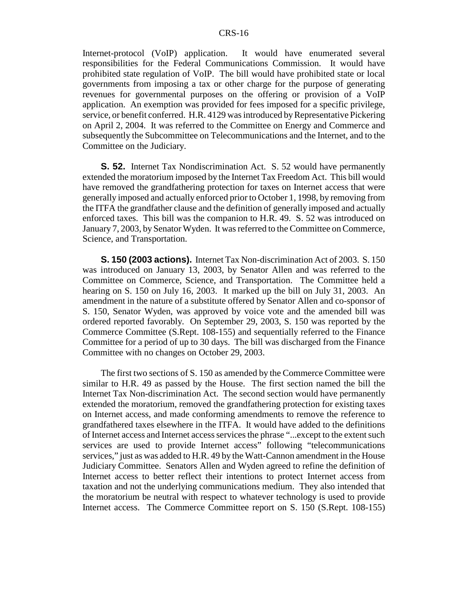Internet-protocol (VoIP) application. It would have enumerated several responsibilities for the Federal Communications Commission. It would have prohibited state regulation of VoIP. The bill would have prohibited state or local governments from imposing a tax or other charge for the purpose of generating revenues for governmental purposes on the offering or provision of a VoIP application. An exemption was provided for fees imposed for a specific privilege, service, or benefit conferred. H.R. 4129 was introduced by Representative Pickering on April 2, 2004. It was referred to the Committee on Energy and Commerce and subsequently the Subcommittee on Telecommunications and the Internet, and to the Committee on the Judiciary.

**S. 52.** Internet Tax Nondiscrimination Act. S. 52 would have permanently extended the moratorium imposed by the Internet Tax Freedom Act. This bill would have removed the grandfathering protection for taxes on Internet access that were generally imposed and actually enforced prior to October 1, 1998, by removing from the ITFA the grandfather clause and the definition of generally imposed and actually enforced taxes. This bill was the companion to H.R. 49. S. 52 was introduced on January 7, 2003, by Senator Wyden. It was referred to the Committee on Commerce, Science, and Transportation.

**S. 150 (2003 actions).** Internet Tax Non-discrimination Act of 2003. S. 150 was introduced on January 13, 2003, by Senator Allen and was referred to the Committee on Commerce, Science, and Transportation. The Committee held a hearing on S. 150 on July 16, 2003. It marked up the bill on July 31, 2003. An amendment in the nature of a substitute offered by Senator Allen and co-sponsor of S. 150, Senator Wyden, was approved by voice vote and the amended bill was ordered reported favorably. On September 29, 2003, S. 150 was reported by the Commerce Committee (S.Rept. 108-155) and sequentially referred to the Finance Committee for a period of up to 30 days. The bill was discharged from the Finance Committee with no changes on October 29, 2003.

The first two sections of S. 150 as amended by the Commerce Committee were similar to H.R. 49 as passed by the House. The first section named the bill the Internet Tax Non-discrimination Act. The second section would have permanently extended the moratorium, removed the grandfathering protection for existing taxes on Internet access, and made conforming amendments to remove the reference to grandfathered taxes elsewhere in the ITFA. It would have added to the definitions of Internet access and Internet access services the phrase "...except to the extent such services are used to provide Internet access" following "telecommunications services," just as was added to H.R. 49 by the Watt-Cannon amendment in the House Judiciary Committee. Senators Allen and Wyden agreed to refine the definition of Internet access to better reflect their intentions to protect Internet access from taxation and not the underlying communications medium. They also intended that the moratorium be neutral with respect to whatever technology is used to provide Internet access. The Commerce Committee report on S. 150 (S.Rept. 108-155)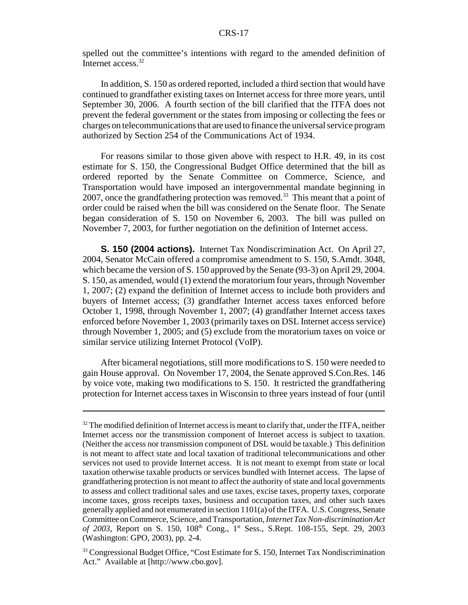spelled out the committee's intentions with regard to the amended definition of Internet access.<sup>32</sup>

In addition, S. 150 as ordered reported, included a third section that would have continued to grandfather existing taxes on Internet access for three more years, until September 30, 2006. A fourth section of the bill clarified that the ITFA does not prevent the federal government or the states from imposing or collecting the fees or charges on telecommunications that are used to finance the universal service program authorized by Section 254 of the Communications Act of 1934.

For reasons similar to those given above with respect to H.R. 49, in its cost estimate for S. 150, the Congressional Budget Office determined that the bill as ordered reported by the Senate Committee on Commerce, Science, and Transportation would have imposed an intergovernmental mandate beginning in 2007, once the grandfathering protection was removed.<sup>33</sup> This meant that a point of order could be raised when the bill was considered on the Senate floor. The Senate began consideration of S. 150 on November 6, 2003. The bill was pulled on November 7, 2003, for further negotiation on the definition of Internet access.

**S. 150 (2004 actions).** Internet Tax Nondiscrimination Act. On April 27, 2004, Senator McCain offered a compromise amendment to S. 150, S.Amdt. 3048, which became the version of S. 150 approved by the Senate (93-3) on April 29, 2004. S. 150, as amended, would (1) extend the moratorium four years, through November 1, 2007; (2) expand the definition of Internet access to include both providers and buyers of Internet access; (3) grandfather Internet access taxes enforced before October 1, 1998, through November 1, 2007; (4) grandfather Internet access taxes enforced before November 1, 2003 (primarily taxes on DSL Internet access service) through November 1, 2005; and (5) exclude from the moratorium taxes on voice or similar service utilizing Internet Protocol (VoIP).

After bicameral negotiations, still more modifications to S. 150 were needed to gain House approval. On November 17, 2004, the Senate approved S.Con.Res. 146 by voice vote, making two modifications to S. 150. It restricted the grandfathering protection for Internet access taxes in Wisconsin to three years instead of four (until

 $32$  The modified definition of Internet access is meant to clarify that, under the ITFA, neither Internet access nor the transmission component of Internet access is subject to taxation. (Neither the access nor transmission component of DSL would be taxable.) This definition is not meant to affect state and local taxation of traditional telecommunications and other services not used to provide Internet access. It is not meant to exempt from state or local taxation otherwise taxable products or services bundled with Internet access. The lapse of grandfathering protection is not meant to affect the authority of state and local governments to assess and collect traditional sales and use taxes, excise taxes, property taxes, corporate income taxes, gross receipts taxes, business and occupation taxes, and other such taxes generally applied and not enumerated in section 1101(a) of the ITFA. U.S. Congress, Senate Committee on Commerce, Science, and Transportation, *Internet Tax Non-discrimination Act of 2003*, Report on S. 150, 108th Cong., 1st Sess., S.Rept. 108-155, Sept. 29, 2003 (Washington: GPO, 2003), pp. 2-4.

<sup>&</sup>lt;sup>33</sup> Congressional Budget Office, "Cost Estimate for S. 150, Internet Tax Nondiscrimination Act." Available at [http://www.cbo.gov].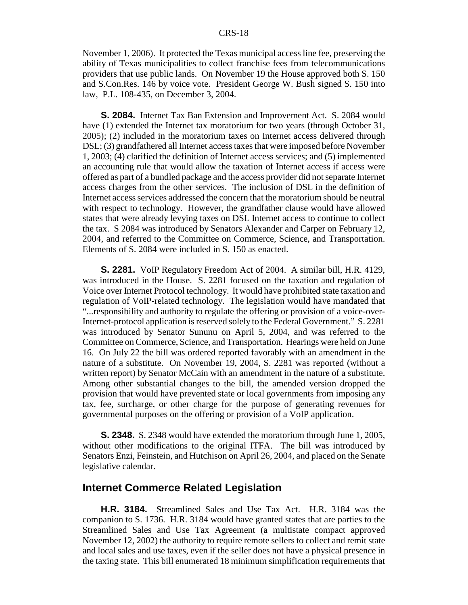November 1, 2006). It protected the Texas municipal access line fee, preserving the ability of Texas municipalities to collect franchise fees from telecommunications providers that use public lands. On November 19 the House approved both S. 150 and S.Con.Res. 146 by voice vote. President George W. Bush signed S. 150 into law, P.L. 108-435, on December 3, 2004.

**S. 2084.** Internet Tax Ban Extension and Improvement Act. S. 2084 would have (1) extended the Internet tax moratorium for two years (through October 31, 2005); (2) included in the moratorium taxes on Internet access delivered through DSL; (3) grandfathered all Internet access taxes that were imposed before November 1, 2003; (4) clarified the definition of Internet access services; and (5) implemented an accounting rule that would allow the taxation of Internet access if access were offered as part of a bundled package and the access provider did not separate Internet access charges from the other services. The inclusion of DSL in the definition of Internet access services addressed the concern that the moratorium should be neutral with respect to technology. However, the grandfather clause would have allowed states that were already levying taxes on DSL Internet access to continue to collect the tax. S 2084 was introduced by Senators Alexander and Carper on February 12, 2004, and referred to the Committee on Commerce, Science, and Transportation. Elements of S. 2084 were included in S. 150 as enacted.

**S. 2281.** VoIP Regulatory Freedom Act of 2004. A similar bill, H.R. 4129, was introduced in the House. S. 2281 focused on the taxation and regulation of Voice over Internet Protocol technology. It would have prohibited state taxation and regulation of VoIP-related technology. The legislation would have mandated that "...responsibility and authority to regulate the offering or provision of a voice-over-Internet-protocol application is reserved solely to the Federal Government." S. 2281 was introduced by Senator Sununu on April 5, 2004, and was referred to the Committee on Commerce, Science, and Transportation. Hearings were held on June 16. On July 22 the bill was ordered reported favorably with an amendment in the nature of a substitute. On November 19, 2004, S. 2281 was reported (without a written report) by Senator McCain with an amendment in the nature of a substitute. Among other substantial changes to the bill, the amended version dropped the provision that would have prevented state or local governments from imposing any tax, fee, surcharge, or other charge for the purpose of generating revenues for governmental purposes on the offering or provision of a VoIP application.

**S. 2348.** S. 2348 would have extended the moratorium through June 1, 2005, without other modifications to the original ITFA. The bill was introduced by Senators Enzi, Feinstein, and Hutchison on April 26, 2004, and placed on the Senate legislative calendar.

#### **Internet Commerce Related Legislation**

**H.R. 3184.** Streamlined Sales and Use Tax Act. H.R. 3184 was the companion to S. 1736. H.R. 3184 would have granted states that are parties to the Streamlined Sales and Use Tax Agreement (a multistate compact approved November 12, 2002) the authority to require remote sellers to collect and remit state and local sales and use taxes, even if the seller does not have a physical presence in the taxing state. This bill enumerated 18 minimum simplification requirements that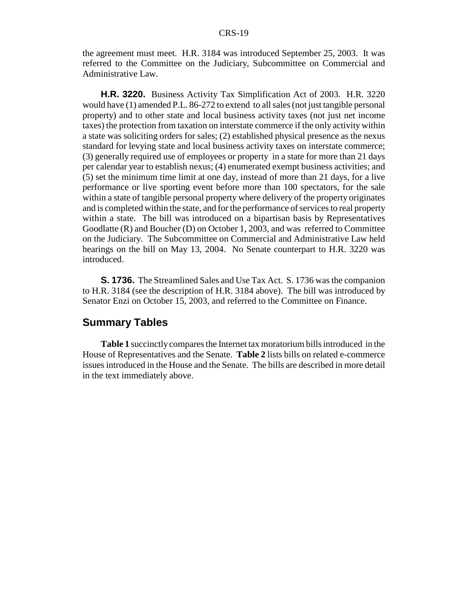the agreement must meet. H.R. 3184 was introduced September 25, 2003. It was referred to the Committee on the Judiciary, Subcommittee on Commercial and Administrative Law.

**H.R. 3220.** Business Activity Tax Simplification Act of 2003. H.R. 3220 would have (1) amended P.L. 86-272 to extend to all sales (not just tangible personal property) and to other state and local business activity taxes (not just net income taxes) the protection from taxation on interstate commerce if the only activity within a state was soliciting orders for sales; (2) established physical presence as the nexus standard for levying state and local business activity taxes on interstate commerce; (3) generally required use of employees or property in a state for more than 21 days per calendar year to establish nexus; (4) enumerated exempt business activities; and (5) set the minimum time limit at one day, instead of more than 21 days, for a live performance or live sporting event before more than 100 spectators, for the sale within a state of tangible personal property where delivery of the property originates and is completed within the state, and for the performance of services to real property within a state. The bill was introduced on a bipartisan basis by Representatives Goodlatte (R) and Boucher (D) on October 1, 2003, and was referred to Committee on the Judiciary. The Subcommittee on Commercial and Administrative Law held hearings on the bill on May 13, 2004. No Senate counterpart to H.R. 3220 was introduced.

**S. 1736.** The Streamlined Sales and Use Tax Act. S. 1736 was the companion to H.R. 3184 (see the description of H.R. 3184 above). The bill was introduced by Senator Enzi on October 15, 2003, and referred to the Committee on Finance.

#### **Summary Tables**

**Table 1** succinctly compares the Internet tax moratorium bills introduced in the House of Representatives and the Senate. **Table 2** lists bills on related e-commerce issues introduced in the House and the Senate. The bills are described in more detail in the text immediately above.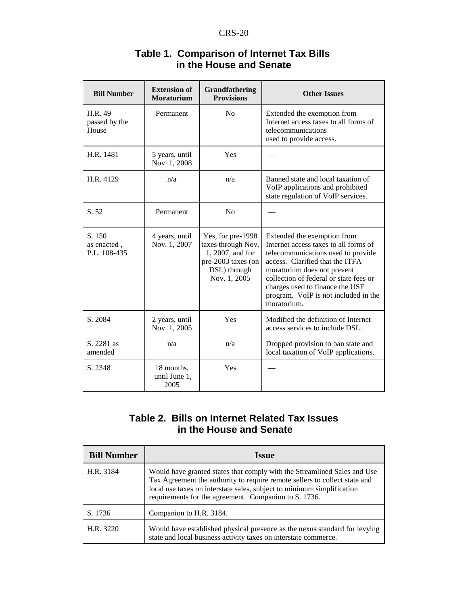| <b>Bill Number</b>                    | <b>Extension of</b><br><b>Moratorium</b> | Grandfathering<br><b>Provisions</b>                                                                               | <b>Other Issues</b>                                                                                                                                                                                                                                                                                              |
|---------------------------------------|------------------------------------------|-------------------------------------------------------------------------------------------------------------------|------------------------------------------------------------------------------------------------------------------------------------------------------------------------------------------------------------------------------------------------------------------------------------------------------------------|
| H.R. 49<br>passed by the<br>House     | Permanent                                | No                                                                                                                | Extended the exemption from<br>Internet access taxes to all forms of<br>telecommunications<br>used to provide access.                                                                                                                                                                                            |
| H.R. 1481                             | 5 years, until<br>Nov. 1, 2008           | Yes                                                                                                               |                                                                                                                                                                                                                                                                                                                  |
| H.R. 4129                             | n/a                                      | n/a                                                                                                               | Banned state and local taxation of<br>VoIP applications and prohibited<br>state regulation of VoIP services.                                                                                                                                                                                                     |
| S. 52                                 | Permanent                                | No                                                                                                                |                                                                                                                                                                                                                                                                                                                  |
| S. 150<br>as enacted.<br>P.L. 108-435 | 4 years, until<br>Nov. 1, 2007           | Yes, for pre-1998<br>taxes through Nov.<br>1, 2007, and for<br>pre-2003 taxes (on<br>DSL) through<br>Nov. 1, 2005 | Extended the exemption from<br>Internet access taxes to all forms of<br>telecommunications used to provide<br>access. Clarified that the ITFA<br>moratorium does not prevent<br>collection of federal or state fees or<br>charges used to finance the USF<br>program. VoIP is not included in the<br>moratorium. |
| S. 2084                               | 2 years, until<br>Nov. 1, 2005           | Yes                                                                                                               | Modified the definition of Internet<br>access services to include DSL.                                                                                                                                                                                                                                           |
| S. 2281 as<br>amended                 | n/a                                      | n/a                                                                                                               | Dropped provision to ban state and<br>local taxation of VoIP applications.                                                                                                                                                                                                                                       |
| S. 2348                               | 18 months,<br>until June 1,<br>2005      | Yes                                                                                                               |                                                                                                                                                                                                                                                                                                                  |

#### **Table 1. Comparison of Internet Tax Bills in the House and Senate**

#### **Table 2. Bills on Internet Related Tax Issues in the House and Senate**

| <b>Bill Number</b> | <b>Issue</b>                                                                                                                                                                                                                                                                              |
|--------------------|-------------------------------------------------------------------------------------------------------------------------------------------------------------------------------------------------------------------------------------------------------------------------------------------|
| H.R. 3184          | Would have granted states that comply with the Streamlined Sales and Use<br>Tax Agreement the authority to require remote sellers to collect state and<br>local use taxes on interstate sales, subject to minimum simplification<br>requirements for the agreement. Companion to S. 1736. |
| S. 1736            | Companion to H.R. 3184.                                                                                                                                                                                                                                                                   |
| H.R. 3220          | Would have established physical presence as the nexus standard for levying<br>state and local business activity taxes on interstate commerce.                                                                                                                                             |